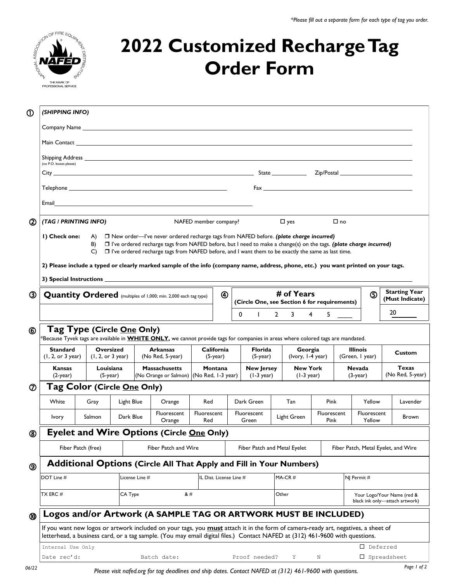

## **2022 Customized Recharge Tag Order Form**

| $^{\circ}$                                                                                                      |                                                                                                                                                                                                                                                  |                                                                                                                         |                                                                                                                                                                                                                                                                                                                                                                                                                                                                                                                                                                                                                                                                                                                                                                                                                                                                                                                                                                                                                                                                                                                                                                                                                                                                                                                                                                                              |                              |                                                                     |                         |                                           |  |                                 |                                       |                                              |                              |                     |                                  |                                                                                                                                                                                                                                |          |                                         |
|-----------------------------------------------------------------------------------------------------------------|--------------------------------------------------------------------------------------------------------------------------------------------------------------------------------------------------------------------------------------------------|-------------------------------------------------------------------------------------------------------------------------|----------------------------------------------------------------------------------------------------------------------------------------------------------------------------------------------------------------------------------------------------------------------------------------------------------------------------------------------------------------------------------------------------------------------------------------------------------------------------------------------------------------------------------------------------------------------------------------------------------------------------------------------------------------------------------------------------------------------------------------------------------------------------------------------------------------------------------------------------------------------------------------------------------------------------------------------------------------------------------------------------------------------------------------------------------------------------------------------------------------------------------------------------------------------------------------------------------------------------------------------------------------------------------------------------------------------------------------------------------------------------------------------|------------------------------|---------------------------------------------------------------------|-------------------------|-------------------------------------------|--|---------------------------------|---------------------------------------|----------------------------------------------|------------------------------|---------------------|----------------------------------|--------------------------------------------------------------------------------------------------------------------------------------------------------------------------------------------------------------------------------|----------|-----------------------------------------|
|                                                                                                                 |                                                                                                                                                                                                                                                  | (SHIPPING INFO)                                                                                                         |                                                                                                                                                                                                                                                                                                                                                                                                                                                                                                                                                                                                                                                                                                                                                                                                                                                                                                                                                                                                                                                                                                                                                                                                                                                                                                                                                                                              |                              |                                                                     |                         |                                           |  |                                 |                                       |                                              |                              |                     |                                  |                                                                                                                                                                                                                                |          |                                         |
|                                                                                                                 |                                                                                                                                                                                                                                                  |                                                                                                                         |                                                                                                                                                                                                                                                                                                                                                                                                                                                                                                                                                                                                                                                                                                                                                                                                                                                                                                                                                                                                                                                                                                                                                                                                                                                                                                                                                                                              |                              |                                                                     |                         |                                           |  |                                 |                                       |                                              |                              |                     |                                  |                                                                                                                                                                                                                                |          |                                         |
|                                                                                                                 |                                                                                                                                                                                                                                                  | Main Contact <b>Executive Contract Contract Contract Contract Contract Contract Contract Contract Contract Contract</b> |                                                                                                                                                                                                                                                                                                                                                                                                                                                                                                                                                                                                                                                                                                                                                                                                                                                                                                                                                                                                                                                                                                                                                                                                                                                                                                                                                                                              |                              |                                                                     |                         |                                           |  |                                 |                                       |                                              |                              |                     |                                  |                                                                                                                                                                                                                                |          |                                         |
|                                                                                                                 | (no P.O. boxes please)                                                                                                                                                                                                                           |                                                                                                                         |                                                                                                                                                                                                                                                                                                                                                                                                                                                                                                                                                                                                                                                                                                                                                                                                                                                                                                                                                                                                                                                                                                                                                                                                                                                                                                                                                                                              |                              |                                                                     |                         |                                           |  |                                 |                                       |                                              |                              |                     |                                  |                                                                                                                                                                                                                                |          |                                         |
|                                                                                                                 |                                                                                                                                                                                                                                                  |                                                                                                                         |                                                                                                                                                                                                                                                                                                                                                                                                                                                                                                                                                                                                                                                                                                                                                                                                                                                                                                                                                                                                                                                                                                                                                                                                                                                                                                                                                                                              |                              |                                                                     |                         |                                           |  |                                 |                                       |                                              |                              |                     |                                  |                                                                                                                                                                                                                                |          |                                         |
|                                                                                                                 |                                                                                                                                                                                                                                                  |                                                                                                                         |                                                                                                                                                                                                                                                                                                                                                                                                                                                                                                                                                                                                                                                                                                                                                                                                                                                                                                                                                                                                                                                                                                                                                                                                                                                                                                                                                                                              |                              |                                                                     |                         |                                           |  |                                 |                                       |                                              |                              |                     |                                  | Fax and the state of the state of the state of the state of the state of the state of the state of the state of the state of the state of the state of the state of the state of the state of the state of the state of the st |          |                                         |
|                                                                                                                 |                                                                                                                                                                                                                                                  |                                                                                                                         |                                                                                                                                                                                                                                                                                                                                                                                                                                                                                                                                                                                                                                                                                                                                                                                                                                                                                                                                                                                                                                                                                                                                                                                                                                                                                                                                                                                              |                              |                                                                     |                         |                                           |  |                                 |                                       |                                              |                              |                     |                                  |                                                                                                                                                                                                                                |          |                                         |
|                                                                                                                 |                                                                                                                                                                                                                                                  |                                                                                                                         |                                                                                                                                                                                                                                                                                                                                                                                                                                                                                                                                                                                                                                                                                                                                                                                                                                                                                                                                                                                                                                                                                                                                                                                                                                                                                                                                                                                              |                              |                                                                     |                         |                                           |  |                                 |                                       |                                              |                              |                     |                                  |                                                                                                                                                                                                                                |          |                                         |
| $(2)$                                                                                                           |                                                                                                                                                                                                                                                  | (TAG / PRINTING INFO)<br>NAFED member company?                                                                          |                                                                                                                                                                                                                                                                                                                                                                                                                                                                                                                                                                                                                                                                                                                                                                                                                                                                                                                                                                                                                                                                                                                                                                                                                                                                                                                                                                                              |                              |                                                                     |                         |                                           |  | $\Box$ yes                      |                                       |                                              |                              | $\Box$ no           |                                  |                                                                                                                                                                                                                                |          |                                         |
|                                                                                                                 | I) Check one:<br>□ New order—I've never ordered recharge tags from NAFED before. (plate charge incurred)<br>A)<br>$\Box$ I've ordered recharge tags from NAFED before, but I need to make a change(s) on the tags. (plate charge incurred)<br>B) |                                                                                                                         |                                                                                                                                                                                                                                                                                                                                                                                                                                                                                                                                                                                                                                                                                                                                                                                                                                                                                                                                                                                                                                                                                                                                                                                                                                                                                                                                                                                              |                              |                                                                     |                         |                                           |  |                                 |                                       |                                              |                              |                     |                                  |                                                                                                                                                                                                                                |          |                                         |
| $\Box$ I've ordered recharge tags from NAFED before, and I want them to be exactly the same as last time.<br>C) |                                                                                                                                                                                                                                                  |                                                                                                                         |                                                                                                                                                                                                                                                                                                                                                                                                                                                                                                                                                                                                                                                                                                                                                                                                                                                                                                                                                                                                                                                                                                                                                                                                                                                                                                                                                                                              |                              |                                                                     |                         |                                           |  |                                 |                                       |                                              |                              |                     |                                  |                                                                                                                                                                                                                                |          |                                         |
|                                                                                                                 | 2) Please include a typed or clearly marked sample of the info (company name, address, phone, etc.) you want printed on your tags.                                                                                                               |                                                                                                                         |                                                                                                                                                                                                                                                                                                                                                                                                                                                                                                                                                                                                                                                                                                                                                                                                                                                                                                                                                                                                                                                                                                                                                                                                                                                                                                                                                                                              |                              |                                                                     |                         |                                           |  |                                 |                                       |                                              |                              |                     |                                  |                                                                                                                                                                                                                                |          |                                         |
|                                                                                                                 |                                                                                                                                                                                                                                                  |                                                                                                                         |                                                                                                                                                                                                                                                                                                                                                                                                                                                                                                                                                                                                                                                                                                                                                                                                                                                                                                                                                                                                                                                                                                                                                                                                                                                                                                                                                                                              |                              |                                                                     |                         |                                           |  |                                 |                                       |                                              |                              |                     |                                  |                                                                                                                                                                                                                                |          |                                         |
| ③                                                                                                               |                                                                                                                                                                                                                                                  | $^{\circledR}$<br><b>Quantity Ordered</b> (multiples of 1,000; min. 2,000 each tag type)                                |                                                                                                                                                                                                                                                                                                                                                                                                                                                                                                                                                                                                                                                                                                                                                                                                                                                                                                                                                                                                                                                                                                                                                                                                                                                                                                                                                                                              |                              |                                                                     |                         |                                           |  |                                 | # of Years                            |                                              |                              |                     |                                  |                                                                                                                                                                                                                                |          | <b>Starting Year</b><br>(Must Indicate) |
|                                                                                                                 |                                                                                                                                                                                                                                                  |                                                                                                                         |                                                                                                                                                                                                                                                                                                                                                                                                                                                                                                                                                                                                                                                                                                                                                                                                                                                                                                                                                                                                                                                                                                                                                                                                                                                                                                                                                                                              |                              |                                                                     |                         |                                           |  |                                 |                                       | (Circle One, see Section 6 for requirements) |                              |                     |                                  |                                                                                                                                                                                                                                | 20       |                                         |
|                                                                                                                 |                                                                                                                                                                                                                                                  |                                                                                                                         |                                                                                                                                                                                                                                                                                                                                                                                                                                                                                                                                                                                                                                                                                                                                                                                                                                                                                                                                                                                                                                                                                                                                                                                                                                                                                                                                                                                              |                              |                                                                     |                         |                                           |  | 0<br>$\mathbf{I}$               |                                       | $2^{\circ}$<br>3                             | $\overline{4}$               | 5                   |                                  |                                                                                                                                                                                                                                |          |                                         |
| ⑥                                                                                                               | Tag Type (Circle One Only)                                                                                                                                                                                                                       |                                                                                                                         |                                                                                                                                                                                                                                                                                                                                                                                                                                                                                                                                                                                                                                                                                                                                                                                                                                                                                                                                                                                                                                                                                                                                                                                                                                                                                                                                                                                              |                              |                                                                     |                         |                                           |  |                                 |                                       |                                              |                              |                     |                                  |                                                                                                                                                                                                                                |          |                                         |
|                                                                                                                 | $^*$ Because Tyvek tags are available in $\mathbf{W}$ HITE ONLY, we cannot provide tags for companies in areas where colored tags are mandated.<br><b>Standard</b><br>Oversized<br><b>Arkansas</b><br>California                                 |                                                                                                                         |                                                                                                                                                                                                                                                                                                                                                                                                                                                                                                                                                                                                                                                                                                                                                                                                                                                                                                                                                                                                                                                                                                                                                                                                                                                                                                                                                                                              |                              |                                                                     |                         |                                           |  |                                 | Florida<br>Georgia<br><b>Illinois</b> |                                              |                              |                     |                                  |                                                                                                                                                                                                                                |          |                                         |
|                                                                                                                 | (1, 2, or 3 year)<br>(l, 2, or 3 year)                                                                                                                                                                                                           |                                                                                                                         |                                                                                                                                                                                                                                                                                                                                                                                                                                                                                                                                                                                                                                                                                                                                                                                                                                                                                                                                                                                                                                                                                                                                                                                                                                                                                                                                                                                              | (No Red, 5-year)             |                                                                     |                         | $(5$ -year)                               |  |                                 | $(5-year)$                            | (Ivory, 1-4 year)                            |                              |                     | (Green, I year)                  |                                                                                                                                                                                                                                | Custom   |                                         |
|                                                                                                                 | <b>Kansas</b><br>$(2$ -year)                                                                                                                                                                                                                     | Louisiana<br><b>Massachusetts</b><br>(No Orange or Salmon) (No Red, 1-3 year)<br>$(5$ -year)                            |                                                                                                                                                                                                                                                                                                                                                                                                                                                                                                                                                                                                                                                                                                                                                                                                                                                                                                                                                                                                                                                                                                                                                                                                                                                                                                                                                                                              |                              | Montana                                                             |                         | <b>New Jersey</b><br>$(1-3 \text{ year})$ |  | <b>New York</b><br>$(1-3$ year) |                                       |                                              | <b>Nevada</b><br>$(3$ -year) |                     | <b>Texas</b><br>(No Red, 5-year) |                                                                                                                                                                                                                                |          |                                         |
| Tag Color (Circle <u>One</u> Only)<br>$^\circledR$                                                              |                                                                                                                                                                                                                                                  |                                                                                                                         |                                                                                                                                                                                                                                                                                                                                                                                                                                                                                                                                                                                                                                                                                                                                                                                                                                                                                                                                                                                                                                                                                                                                                                                                                                                                                                                                                                                              |                              |                                                                     |                         |                                           |  |                                 |                                       |                                              |                              |                     |                                  |                                                                                                                                                                                                                                |          |                                         |
|                                                                                                                 | White                                                                                                                                                                                                                                            | Gray<br>Light Blue                                                                                                      |                                                                                                                                                                                                                                                                                                                                                                                                                                                                                                                                                                                                                                                                                                                                                                                                                                                                                                                                                                                                                                                                                                                                                                                                                                                                                                                                                                                              |                              | Orange                                                              | Red                     |                                           |  | Dark Green                      |                                       | Tan<br>Pink                                  |                              |                     | Yellow                           |                                                                                                                                                                                                                                | Lavender |                                         |
|                                                                                                                 | Ivory                                                                                                                                                                                                                                            | Salmon                                                                                                                  | Dark Blue                                                                                                                                                                                                                                                                                                                                                                                                                                                                                                                                                                                                                                                                                                                                                                                                                                                                                                                                                                                                                                                                                                                                                                                                                                                                                                                                                                                    |                              | Fluorescent<br>Orange                                               | Fluorescent<br>Red      |                                           |  | Fluorescent<br>Green            |                                       | Light Green                                  |                              | Fluorescent<br>Pink |                                  | Fluorescent<br>Yellow                                                                                                                                                                                                          |          | Brown                                   |
| ಀ                                                                                                               | Eyelet and Wire Options (Circle One Only)                                                                                                                                                                                                        |                                                                                                                         |                                                                                                                                                                                                                                                                                                                                                                                                                                                                                                                                                                                                                                                                                                                                                                                                                                                                                                                                                                                                                                                                                                                                                                                                                                                                                                                                                                                              |                              |                                                                     |                         |                                           |  |                                 |                                       |                                              |                              |                     |                                  |                                                                                                                                                                                                                                |          |                                         |
|                                                                                                                 |                                                                                                                                                                                                                                                  | Fiber Patch (free)<br>Fiber Patch and Wire                                                                              |                                                                                                                                                                                                                                                                                                                                                                                                                                                                                                                                                                                                                                                                                                                                                                                                                                                                                                                                                                                                                                                                                                                                                                                                                                                                                                                                                                                              | Fiber Patch and Metal Eyelet |                                                                     |                         |                                           |  |                                 |                                       | Fiber Patch, Metal Eyelet, and Wire          |                              |                     |                                  |                                                                                                                                                                                                                                |          |                                         |
| ⊚                                                                                                               |                                                                                                                                                                                                                                                  |                                                                                                                         |                                                                                                                                                                                                                                                                                                                                                                                                                                                                                                                                                                                                                                                                                                                                                                                                                                                                                                                                                                                                                                                                                                                                                                                                                                                                                                                                                                                              |                              | Additional Options (Circle All That Apply and Fill in Your Numbers) |                         |                                           |  |                                 |                                       |                                              |                              |                     |                                  |                                                                                                                                                                                                                                |          |                                         |
|                                                                                                                 | DOT Line #                                                                                                                                                                                                                                       |                                                                                                                         | License Line #                                                                                                                                                                                                                                                                                                                                                                                                                                                                                                                                                                                                                                                                                                                                                                                                                                                                                                                                                                                                                                                                                                                                                                                                                                                                                                                                                                               |                              |                                                                     | IL Dist. License Line # |                                           |  | $MA-CR \#$                      |                                       |                                              |                              |                     | NJ Permit #                      |                                                                                                                                                                                                                                |          |                                         |
|                                                                                                                 | TX ERC #                                                                                                                                                                                                                                         |                                                                                                                         | &#<br>CA Type</th><th></th><th colspan=3></th><th colspan=3>Other</th><th></th><th colspan=2></th><th colspan=2>Your Logo/Your Name (red &<br>black ink only-attach artwork)</th></tr><tr><th></th><th>Logos and/or Artwork (A SAMPLE TAG OR ARTWORK MUST BE INCLUDED)</th><th></th><th></th><th></th><th></th><th></th><th></th><th></th><th></th><th></th><th></th><th></th><th></th><th></th><th></th><th></th><th></th></tr><tr><th></th><th>If you want new logos or artwork included on your tags, you <b>must</b> attach it in the form of camera-ready art, negatives, a sheet of<br>letterhead, a business card, or a tag sample. (You may email digital files.) Contact NAFED at (312) 461-9600 with questions.</th><th></th><th></th><th></th><th></th><th></th><th></th><th></th><th></th><th></th><th></th><th></th><th></th><th></th><th></th><th></th><th></th></tr><tr><th></th><th>Internal Use Only</th><th></th><th></th><th></th><th></th><th></th><th></th><th></th><th></th><th></th><th></th><th></th><th></th><th></th><th></th><th colspan=3><math>\square</math> Deferred</th></tr><tr><th></th><th>Date rec'd:</th><th></th><th></th><th></th><th>Batch date:</th><th></th><th></th><th></th><th>Proof needed?</th><th></th><th>Y</th><th></th><th><math display="inline">\rm N</math></th><th></th><th>□ Spreadsheet</th><th></th><th></th></tr></tbody></table> |                              |                                                                     |                         |                                           |  |                                 |                                       |                                              |                              |                     |                                  |                                                                                                                                                                                                                                |          |                                         |

*Please visit nafed.org for tag deadlines and ship dates. Contact NAFED at (312) 461-9600 with questions.*